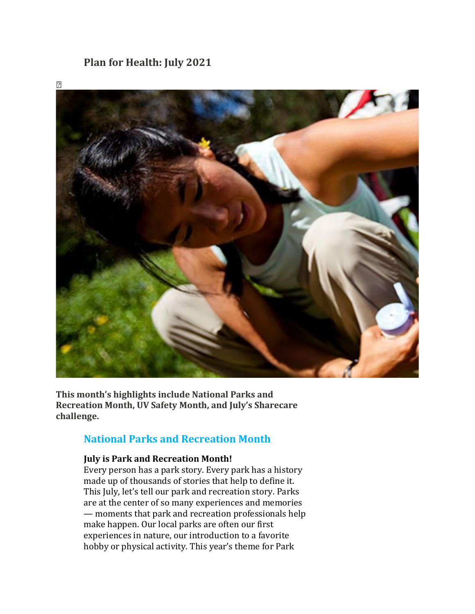## **Plan for Health: July 2021**



**This month's highlights include National Parks and Recreation Month, UV Safety Month, and July's Sharecare challenge.**

## **National Parks and Recreation Month**

#### **July is Park and Recreation Month!**

Every person has a park story. Every park has a history made up of thousands of stories that help to define it. This July, let's tell our park and recreation story. Parks are at the center of so many experiences and memories — moments that park and recreation professionals help make happen. Our local parks are often our first experiences in nature, our introduction to a favorite hobby or physical activity. This year's theme for Park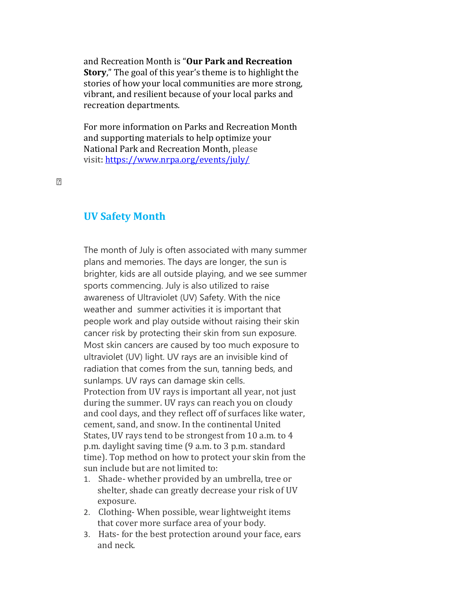and Recreation Month is "**Our Park and Recreation Story**," The goal of this year's theme is to highlight the stories of how your local communities are more strong, vibrant, and resilient because of your local parks and recreation departments.

For more information on Parks and Recreation Month and supporting materials to help optimize your National Park and Recreation Month, please visit: <https://www.nrpa.org/events/july/>

 $\sqrt{2}$ 

#### **UV Safety Month**

The month of July is often associated with many summer plans and memories. The days are longer, the sun is brighter, kids are all outside playing, and we see summer sports commencing. July is also utilized to raise awareness of Ultraviolet (UV) Safety. With the nice weather and summer activities it is important that people work and play outside without raising their skin cancer risk by protecting their skin from sun exposure. Most skin cancers are caused by too much exposure to ultraviolet (UV) light. UV rays are an invisible kind of radiation that comes from the sun, tanning beds, and sunlamps. UV rays can damage skin cells. Protection from UV rays is important all year, not just during the summer. UV rays can reach you on cloudy and cool days, and they reflect off of surfaces like water, cement, sand, and snow. In the continental United States, UV rays tend to be strongest from 10 a.m. to 4 p.m. daylight saving time (9 a.m. to 3 p.m. standard time). Top method on how to protect your skin from the sun include but are not limited to:

- 1. Shade- whether provided by an umbrella, tree or shelter, shade can greatly decrease your risk of UV exposure.
- 2. Clothing- When possible, wear lightweight items that cover more surface area of your body.
- 3. Hats- for the best protection around your face, ears and neck.